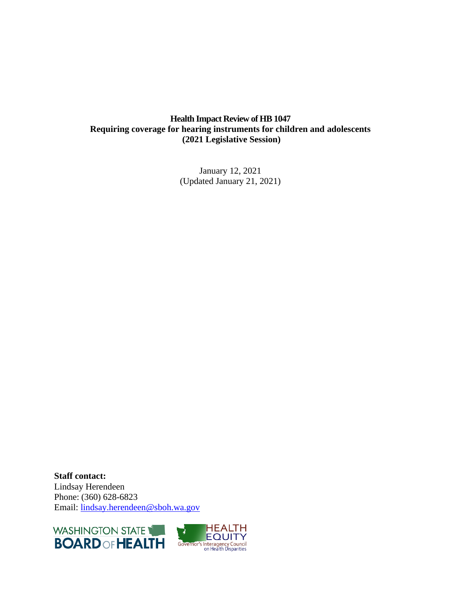# **Health Impact Review of HB 1047 Requiring coverage for hearing instruments for children and adolescents (2021 Legislative Session)**

January 12, 2021 (Updated January 21, 2021)

**Staff contact:** Lindsay Herendeen Phone: (360) 628-6823 Email: [lindsay.herendeen@sboh.wa.gov](mailto:lindsay.herendeen@sboh.wa.gov)



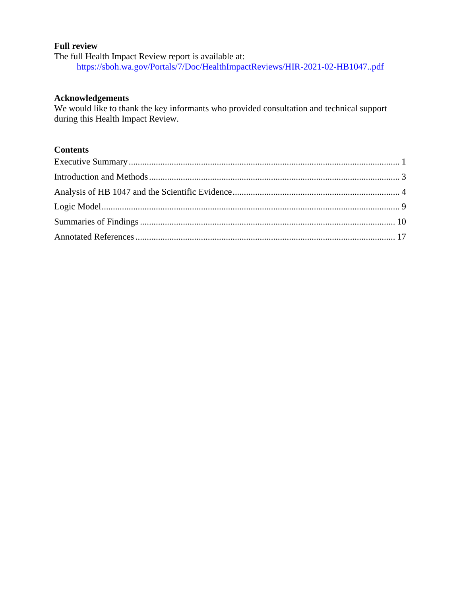#### **Full review**

The full Health Impact Review report is available at: <https://sboh.wa.gov/Portals/7/Doc/HealthImpactReviews/HIR-2021-02-HB1047..pdf>

#### **Acknowledgements**

We would like to thank the key informants who provided consultation and technical support during this Health Impact Review.

# **Contents**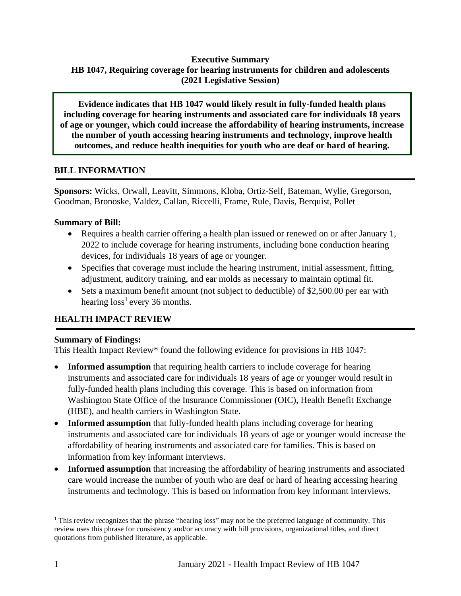# **Executive Summary HB 1047, Requiring coverage for hearing instruments for children and adolescents (2021 Legislative Session)**

**Evidence indicates that HB 1047 would likely result in fully-funded health plans including coverage for hearing instruments and associated care for individuals 18 years of age or younger, which could increase the affordability of hearing instruments, increase the number of youth accessing hearing instruments and technology, improve health outcomes, and reduce health inequities for youth who are deaf or hard of hearing.**

#### **BILL INFORMATION**

**Sponsors:** Wicks, Orwall, Leavitt, Simmons, Kloba, Ortiz-Self, Bateman, Wylie, Gregorson, Goodman, Bronoske, Valdez, Callan, Riccelli, Frame, Rule, Davis, Berquist, Pollet

## **Summary of Bill:**

- Requires a health carrier offering a health plan issued or renewed on or after January 1, 2022 to include coverage for hearing instruments, including bone conduction hearing devices, for individuals 18 years of age or younger.
- Specifies that coverage must include the hearing instrument, initial assessment, fitting, adjustment, auditory training, and ear molds as necessary to maintain optimal fit.
- Sets a maximum benefit amount (not subject to deductible) of \$2,500.00 per ear with hearing  $loss<sup>1</sup>$  every 36 months.

## **HEALTH IMPACT REVIEW**

#### **Summary of Findings:**

This Health Impact Review\* found the following evidence for provisions in HB 1047:

- **Informed assumption** that requiring health carriers to include coverage for hearing instruments and associated care for individuals 18 years of age or younger would result in fully-funded health plans including this coverage. This is based on information from Washington State Office of the Insurance Commissioner (OIC), Health Benefit Exchange (HBE), and health carriers in Washington State.
- **Informed assumption** that fully-funded health plans including coverage for hearing instruments and associated care for individuals 18 years of age or younger would increase the affordability of hearing instruments and associated care for families. This is based on information from key informant interviews.
- **Informed assumption** that increasing the affordability of hearing instruments and associated care would increase the number of youth who are deaf or hard of hearing accessing hearing instruments and technology. This is based on information from key informant interviews.

<sup>&</sup>lt;sup>1</sup> This review recognizes that the phrase "hearing loss" may not be the preferred language of community. This review uses this phrase for consistency and/or accuracy with bill provisions, organizational titles, and direct quotations from published literature, as applicable.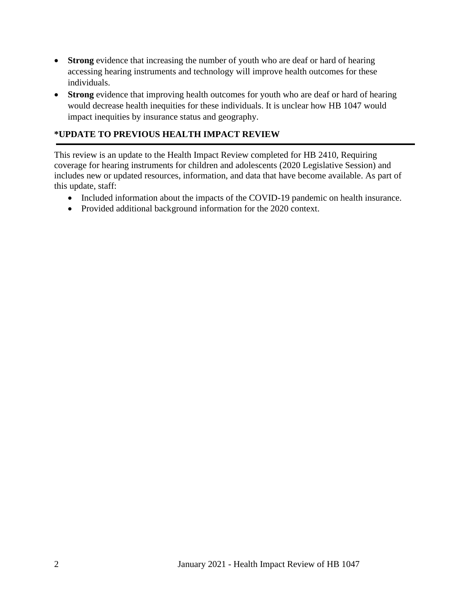- **Strong** evidence that increasing the number of youth who are deaf or hard of hearing accessing hearing instruments and technology will improve health outcomes for these individuals.
- **Strong** evidence that improving health outcomes for youth who are deaf or hard of hearing would decrease health inequities for these individuals. It is unclear how HB 1047 would impact inequities by insurance status and geography.

# **\*UPDATE TO PREVIOUS HEALTH IMPACT REVIEW**

This review is an update to the Health Impact Review completed for HB 2410, Requiring coverage for hearing instruments for children and adolescents (2020 Legislative Session) and includes new or updated resources, information, and data that have become available. As part of this update, staff:

- Included information about the impacts of the COVID-19 pandemic on health insurance.
- <span id="page-3-0"></span>• Provided additional background information for the 2020 context.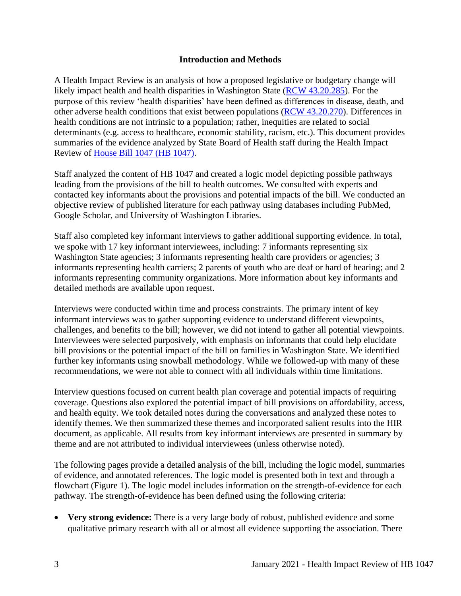#### **Introduction and Methods**

A Health Impact Review is an analysis of how a proposed legislative or budgetary change will likely impact health and health disparities in Washington State [\(RCW 43.20.285\)](http://apps.leg.wa.gov/rcw/default.aspx?cite=43.20.285). For the purpose of this review 'health disparities' have been defined as differences in disease, death, and other adverse health conditions that exist between populations [\(RCW 43.20.270\)](http://apps.leg.wa.gov/rcw/default.aspx?cite=43.20.270). Differences in health conditions are not intrinsic to a population; rather, inequities are related to social determinants (e.g. access to healthcare, economic stability, racism, etc.). This document provides summaries of the evidence analyzed by State Board of Health staff during the Health Impact Review of [House Bill](http://lawfilesext.leg.wa.gov/biennium/2021-22/Pdf/Bills/House%20Bills/1047.pdf?q=20210104114429) 1047 (HB 1047).

Staff analyzed the content of HB 1047 and created a logic model depicting possible pathways leading from the provisions of the bill to health outcomes. We consulted with experts and contacted key informants about the provisions and potential impacts of the bill. We conducted an objective review of published literature for each pathway using databases including PubMed, Google Scholar, and University of Washington Libraries.

Staff also completed key informant interviews to gather additional supporting evidence. In total, we spoke with 17 key informant interviewees, including: 7 informants representing six Washington State agencies; 3 informants representing health care providers or agencies; 3 informants representing health carriers; 2 parents of youth who are deaf or hard of hearing; and 2 informants representing community organizations. More information about key informants and detailed methods are available upon request.

Interviews were conducted within time and process constraints. The primary intent of key informant interviews was to gather supporting evidence to understand different viewpoints, challenges, and benefits to the bill; however, we did not intend to gather all potential viewpoints. Interviewees were selected purposively, with emphasis on informants that could help elucidate bill provisions or the potential impact of the bill on families in Washington State. We identified further key informants using snowball methodology. While we followed-up with many of these recommendations, we were not able to connect with all individuals within time limitations.

Interview questions focused on current health plan coverage and potential impacts of requiring coverage. Questions also explored the potential impact of bill provisions on affordability, access, and health equity. We took detailed notes during the conversations and analyzed these notes to identify themes. We then summarized these themes and incorporated salient results into the HIR document, as applicable. All results from key informant interviews are presented in summary by theme and are not attributed to individual interviewees (unless otherwise noted).

The following pages provide a detailed analysis of the bill, including the logic model, summaries of evidence, and annotated references. The logic model is presented both in text and through a flowchart (Figure 1). The logic model includes information on the strength-of-evidence for each pathway. The strength-of-evidence has been defined using the following criteria:

• **Very strong evidence:** There is a very large body of robust, published evidence and some qualitative primary research with all or almost all evidence supporting the association. There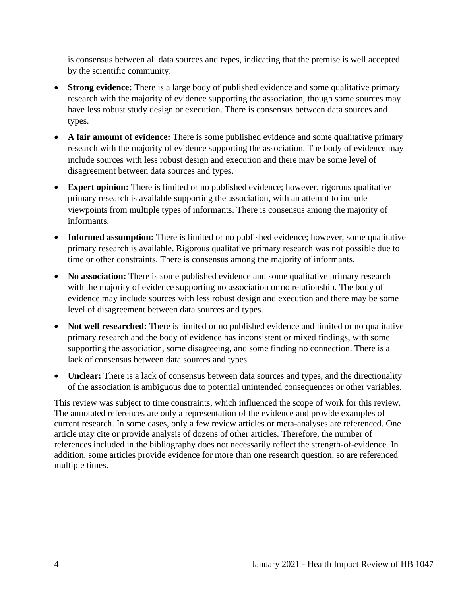is consensus between all data sources and types, indicating that the premise is well accepted by the scientific community.

- **Strong evidence:** There is a large body of published evidence and some qualitative primary research with the majority of evidence supporting the association, though some sources may have less robust study design or execution. There is consensus between data sources and types.
- **A fair amount of evidence:** There is some published evidence and some qualitative primary research with the majority of evidence supporting the association. The body of evidence may include sources with less robust design and execution and there may be some level of disagreement between data sources and types.
- **Expert opinion:** There is limited or no published evidence; however, rigorous qualitative primary research is available supporting the association, with an attempt to include viewpoints from multiple types of informants. There is consensus among the majority of informants.
- **Informed assumption:** There is limited or no published evidence; however, some qualitative primary research is available. Rigorous qualitative primary research was not possible due to time or other constraints. There is consensus among the majority of informants.
- **No association:** There is some published evidence and some qualitative primary research with the majority of evidence supporting no association or no relationship. The body of evidence may include sources with less robust design and execution and there may be some level of disagreement between data sources and types.
- **Not well researched:** There is limited or no published evidence and limited or no qualitative primary research and the body of evidence has inconsistent or mixed findings, with some supporting the association, some disagreeing, and some finding no connection. There is a lack of consensus between data sources and types.
- **Unclear:** There is a lack of consensus between data sources and types, and the directionality of the association is ambiguous due to potential unintended consequences or other variables.

<span id="page-5-0"></span>This review was subject to time constraints, which influenced the scope of work for this review. The annotated references are only a representation of the evidence and provide examples of current research. In some cases, only a few review articles or meta-analyses are referenced. One article may cite or provide analysis of dozens of other articles. Therefore, the number of references included in the bibliography does not necessarily reflect the strength-of-evidence. In addition, some articles provide evidence for more than one research question, so are referenced multiple times.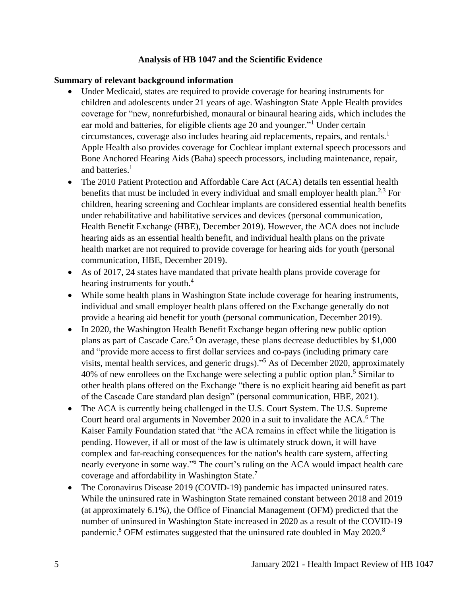#### **Analysis of HB 1047 and the Scientific Evidence**

#### **Summary of relevant background information**

- Under Medicaid, states are required to provide coverage for hearing instruments for children and adolescents under 21 years of age. Washington State Apple Health provides coverage for "new, nonrefurbished, monaural or binaural hearing aids, which includes the ear mold and batteries, for eligible clients age 20 and younger."<sup>1</sup> Under certain circumstances, coverage also includes hearing aid replacements, repairs, and rentals.<sup>1</sup> Apple Health also provides coverage for Cochlear implant external speech processors and Bone Anchored Hearing Aids (Baha) speech processors, including maintenance, repair, and batteries.<sup>1</sup>
- The 2010 Patient Protection and Affordable Care Act (ACA) details ten essential health benefits that must be included in every individual and small employer health plan.<sup>2,3</sup> For children, hearing screening and Cochlear implants are considered essential health benefits under rehabilitative and habilitative services and devices (personal communication, Health Benefit Exchange (HBE), December 2019). However, the ACA does not include hearing aids as an essential health benefit, and individual health plans on the private health market are not required to provide coverage for hearing aids for youth (personal communication, HBE, December 2019).
- As of 2017, 24 states have mandated that private health plans provide coverage for hearing instruments for youth.<sup>4</sup>
- While some health plans in Washington State include coverage for hearing instruments, individual and small employer health plans offered on the Exchange generally do not provide a hearing aid benefit for youth (personal communication, December 2019).
- In 2020, the Washington Health Benefit Exchange began offering new public option plans as part of Cascade Care.<sup>5</sup> On average, these plans decrease deductibles by  $$1,000$ and "provide more access to first dollar services and co-pays (including primary care visits, mental health services, and generic drugs)."<sup>5</sup> As of December 2020, approximately 40% of new enrollees on the Exchange were selecting a public option plan.<sup>5</sup> Similar to other health plans offered on the Exchange "there is no explicit hearing aid benefit as part of the Cascade Care standard plan design" (personal communication, HBE, 2021).
- The ACA is currently being challenged in the U.S. Court System. The U.S. Supreme Court heard oral arguments in November 2020 in a suit to invalidate the ACA.<sup>6</sup> The Kaiser Family Foundation stated that "the ACA remains in effect while the litigation is pending. However, if all or most of the law is ultimately struck down, it will have complex and far-reaching consequences for the nation's health care system, affecting nearly everyone in some way." <sup>6</sup> The court's ruling on the ACA would impact health care coverage and affordability in Washington State.<sup>7</sup>
- The Coronavirus Disease 2019 (COVID-19) pandemic has impacted uninsured rates. While the uninsured rate in Washington State remained constant between 2018 and 2019 (at approximately 6.1%), the Office of Financial Management (OFM) predicted that the number of uninsured in Washington State increased in 2020 as a result of the COVID-19 pandemic.<sup>8</sup> OFM estimates suggested that the uninsured rate doubled in May 2020.<sup>8</sup>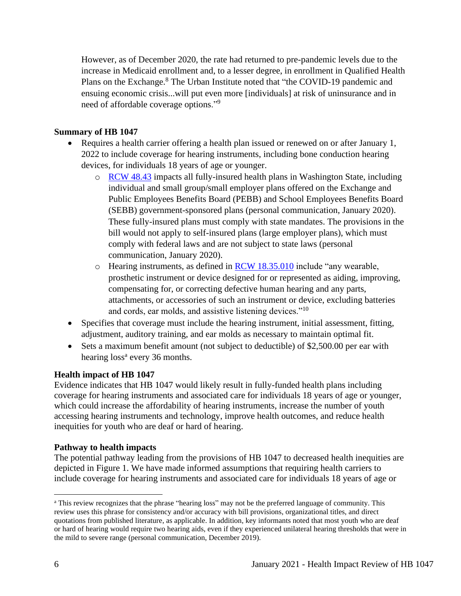However, as of December 2020, the rate had returned to pre-pandemic levels due to the increase in Medicaid enrollment and, to a lesser degree, in enrollment in Qualified Health Plans on the Exchange.<sup>8</sup> The Urban Institute noted that "the COVID-19 pandemic and ensuing economic crisis...will put even more [individuals] at risk of uninsurance and in need of affordable coverage options."<sup>9</sup>

#### **Summary of HB 1047**

- Requires a health carrier offering a health plan issued or renewed on or after January 1, 2022 to include coverage for hearing instruments, including bone conduction hearing devices, for individuals 18 years of age or younger.
	- o [RCW 48.43](https://app.leg.wa.gov/rcw/default.aspx?cite=48.43) impacts all fully-insured health plans in Washington State, including individual and small group/small employer plans offered on the Exchange and Public Employees Benefits Board (PEBB) and School Employees Benefits Board (SEBB) government-sponsored plans (personal communication, January 2020). These fully-insured plans must comply with state mandates. The provisions in the bill would not apply to self-insured plans (large employer plans), which must comply with federal laws and are not subject to state laws (personal communication, January 2020).
	- $\circ$  Hearing instruments, as defined in **RCW** 18.35.010 include "any wearable, prosthetic instrument or device designed for or represented as aiding, improving, compensating for, or correcting defective human hearing and any parts, attachments, or accessories of such an instrument or device, excluding batteries and cords, ear molds, and assistive listening devices."<sup>10</sup>
- Specifies that coverage must include the hearing instrument, initial assessment, fitting, adjustment, auditory training, and ear molds as necessary to maintain optimal fit.
- Sets a maximum benefit amount (not subject to deductible) of \$2,500.00 per ear with hearing loss<sup>a</sup> every 36 months.

## **Health impact of HB 1047**

Evidence indicates that HB 1047 would likely result in fully-funded health plans including coverage for hearing instruments and associated care for individuals 18 years of age or younger, which could increase the affordability of hearing instruments, increase the number of youth accessing hearing instruments and technology, improve health outcomes, and reduce health inequities for youth who are deaf or hard of hearing.

#### **Pathway to health impacts**

The potential pathway leading from the provisions of HB 1047 to decreased health inequities are depicted in Figure 1. We have made informed assumptions that requiring health carriers to include coverage for hearing instruments and associated care for individuals 18 years of age or

<sup>a</sup> This review recognizes that the phrase "hearing loss" may not be the preferred language of community. This review uses this phrase for consistency and/or accuracy with bill provisions, organizational titles, and direct quotations from published literature, as applicable. In addition, key informants noted that most youth who are deaf or hard of hearing would require two hearing aids, even if they experienced unilateral hearing thresholds that were in the mild to severe range (personal communication, December 2019).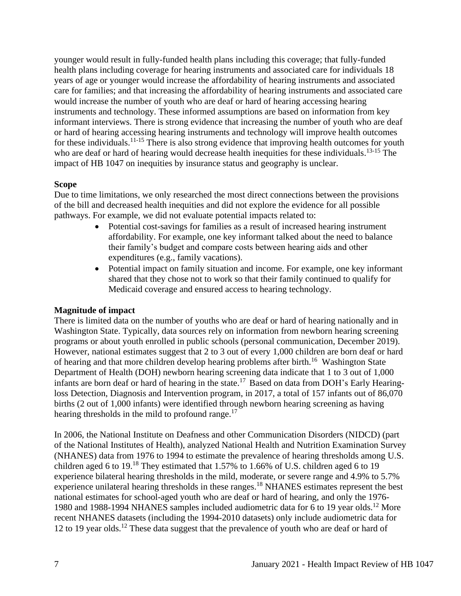younger would result in fully-funded health plans including this coverage; that fully-funded health plans including coverage for hearing instruments and associated care for individuals 18 years of age or younger would increase the affordability of hearing instruments and associated care for families; and that increasing the affordability of hearing instruments and associated care would increase the number of youth who are deaf or hard of hearing accessing hearing instruments and technology. These informed assumptions are based on information from key informant interviews. There is strong evidence that increasing the number of youth who are deaf or hard of hearing accessing hearing instruments and technology will improve health outcomes for these individuals.<sup>11-15</sup> There is also strong evidence that improving health outcomes for youth who are deaf or hard of hearing would decrease health inequities for these individuals.<sup>13-15</sup> The impact of HB 1047 on inequities by insurance status and geography is unclear.

#### **Scope**

Due to time limitations, we only researched the most direct connections between the provisions of the bill and decreased health inequities and did not explore the evidence for all possible pathways. For example, we did not evaluate potential impacts related to:

- Potential cost-savings for families as a result of increased hearing instrument affordability. For example, one key informant talked about the need to balance their family's budget and compare costs between hearing aids and other expenditures (e.g., family vacations).
- Potential impact on family situation and income. For example, one key informant shared that they chose not to work so that their family continued to qualify for Medicaid coverage and ensured access to hearing technology.

## **Magnitude of impact**

There is limited data on the number of youths who are deaf or hard of hearing nationally and in Washington State. Typically, data sources rely on information from newborn hearing screening programs or about youth enrolled in public schools (personal communication, December 2019). However, national estimates suggest that 2 to 3 out of every 1,000 children are born deaf or hard of hearing and that more children develop hearing problems after birth.<sup>16</sup> Washington State Department of Health (DOH) newborn hearing screening data indicate that 1 to 3 out of 1,000 infants are born deaf or hard of hearing in the state.<sup>17</sup> Based on data from DOH's Early Hearingloss Detection, Diagnosis and Intervention program, in 2017, a total of 157 infants out of 86,070 births (2 out of 1,000 infants) were identified through newborn hearing screening as having hearing thresholds in the mild to profound range.<sup>17</sup>

In 2006, the National Institute on Deafness and other Communication Disorders (NIDCD) (part of the National Institutes of Health), analyzed National Health and Nutrition Examination Survey (NHANES) data from 1976 to 1994 to estimate the prevalence of hearing thresholds among U.S. children aged 6 to 19.<sup>18</sup> They estimated that 1.57% to 1.66% of U.S. children aged 6 to 19 experience bilateral hearing thresholds in the mild, moderate, or severe range and 4.9% to 5.7% experience unilateral hearing thresholds in these ranges.<sup>18</sup> NHANES estimates represent the best national estimates for school-aged youth who are deaf or hard of hearing, and only the 1976- 1980 and 1988-1994 NHANES samples included audiometric data for 6 to 19 year olds.<sup>12</sup> More recent NHANES datasets (including the 1994-2010 datasets) only include audiometric data for 12 to 19 year olds.<sup>12</sup> These data suggest that the prevalence of youth who are deaf or hard of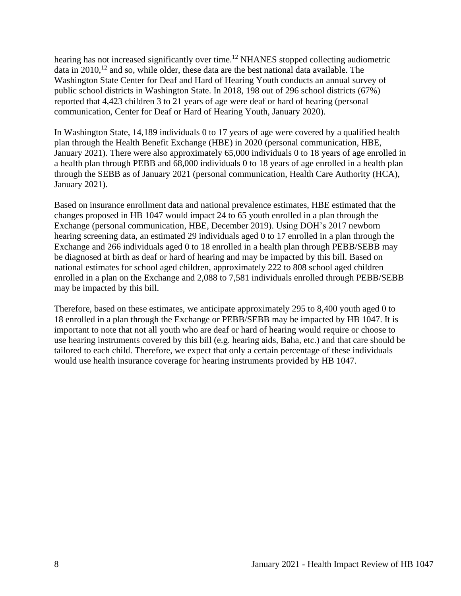hearing has not increased significantly over time.<sup>12</sup> NHANES stopped collecting audiometric data in  $2010$ ,<sup>12</sup> and so, while older, these data are the best national data available. The Washington State Center for Deaf and Hard of Hearing Youth conducts an annual survey of public school districts in Washington State. In 2018, 198 out of 296 school districts (67%) reported that 4,423 children 3 to 21 years of age were deaf or hard of hearing (personal communication, Center for Deaf or Hard of Hearing Youth, January 2020).

In Washington State, 14,189 individuals 0 to 17 years of age were covered by a qualified health plan through the Health Benefit Exchange (HBE) in 2020 (personal communication, HBE, January 2021). There were also approximately 65,000 individuals 0 to 18 years of age enrolled in a health plan through PEBB and 68,000 individuals 0 to 18 years of age enrolled in a health plan through the SEBB as of January 2021 (personal communication, Health Care Authority (HCA), January 2021).

Based on insurance enrollment data and national prevalence estimates, HBE estimated that the changes proposed in HB 1047 would impact 24 to 65 youth enrolled in a plan through the Exchange (personal communication, HBE, December 2019). Using DOH's 2017 newborn hearing screening data, an estimated 29 individuals aged 0 to 17 enrolled in a plan through the Exchange and 266 individuals aged 0 to 18 enrolled in a health plan through PEBB/SEBB may be diagnosed at birth as deaf or hard of hearing and may be impacted by this bill. Based on national estimates for school aged children, approximately 222 to 808 school aged children enrolled in a plan on the Exchange and 2,088 to 7,581 individuals enrolled through PEBB/SEBB may be impacted by this bill.

Therefore, based on these estimates, we anticipate approximately 295 to 8,400 youth aged 0 to 18 enrolled in a plan through the Exchange or PEBB/SEBB may be impacted by HB 1047. It is important to note that not all youth who are deaf or hard of hearing would require or choose to use hearing instruments covered by this bill (e.g. hearing aids, Baha, etc.) and that care should be tailored to each child. Therefore, we expect that only a certain percentage of these individuals would use health insurance coverage for hearing instruments provided by HB 1047.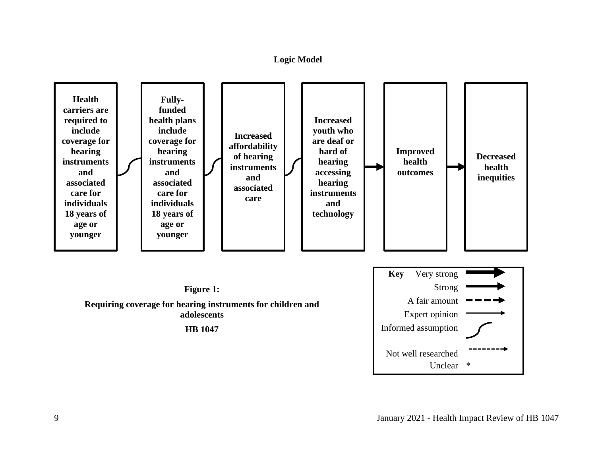#### **Logic Model**

<span id="page-10-0"></span>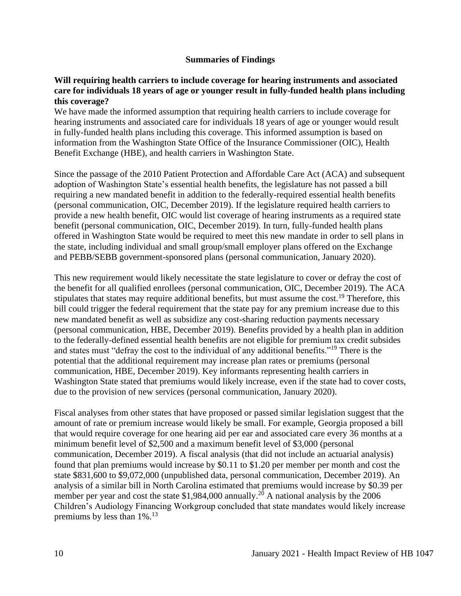#### **Summaries of Findings**

#### <span id="page-11-0"></span>**Will requiring health carriers to include coverage for hearing instruments and associated care for individuals 18 years of age or younger result in fully-funded health plans including this coverage?**

We have made the informed assumption that requiring health carriers to include coverage for hearing instruments and associated care for individuals 18 years of age or younger would result in fully-funded health plans including this coverage. This informed assumption is based on information from the Washington State Office of the Insurance Commissioner (OIC), Health Benefit Exchange (HBE), and health carriers in Washington State.

Since the passage of the 2010 Patient Protection and Affordable Care Act (ACA) and subsequent adoption of Washington State's essential health benefits, the legislature has not passed a bill requiring a new mandated benefit in addition to the federally-required essential health benefits (personal communication, OIC, December 2019). If the legislature required health carriers to provide a new health benefit, OIC would list coverage of hearing instruments as a required state benefit (personal communication, OIC, December 2019). In turn, fully-funded health plans offered in Washington State would be required to meet this new mandate in order to sell plans in the state, including individual and small group/small employer plans offered on the Exchange and PEBB/SEBB government-sponsored plans (personal communication, January 2020).

This new requirement would likely necessitate the state legislature to cover or defray the cost of the benefit for all qualified enrollees (personal communication, OIC, December 2019). The ACA stipulates that states may require additional benefits, but must assume the cost.<sup>19</sup> Therefore, this bill could trigger the federal requirement that the state pay for any premium increase due to this new mandated benefit as well as subsidize any cost-sharing reduction payments necessary (personal communication, HBE, December 2019). Benefits provided by a health plan in addition to the federally-defined essential health benefits are not eligible for premium tax credit subsides and states must "defray the cost to the individual of any additional benefits."<sup>19</sup> There is the potential that the additional requirement may increase plan rates or premiums (personal communication, HBE, December 2019). Key informants representing health carriers in Washington State stated that premiums would likely increase, even if the state had to cover costs, due to the provision of new services (personal communication, January 2020).

Fiscal analyses from other states that have proposed or passed similar legislation suggest that the amount of rate or premium increase would likely be small. For example, Georgia proposed a bill that would require coverage for one hearing aid per ear and associated care every 36 months at a minimum benefit level of \$2,500 and a maximum benefit level of \$3,000 (personal communication, December 2019). A fiscal analysis (that did not include an actuarial analysis) found that plan premiums would increase by \$0.11 to \$1.20 per member per month and cost the state \$831,600 to \$9,072,000 (unpublished data, personal communication, December 2019). An analysis of a similar bill in North Carolina estimated that premiums would increase by \$0.39 per member per year and cost the state \$1,984,000 annually.<sup>20</sup> A national analysis by the 2006 Children's Audiology Financing Workgroup concluded that state mandates would likely increase premiums by less than 1%.<sup>13</sup>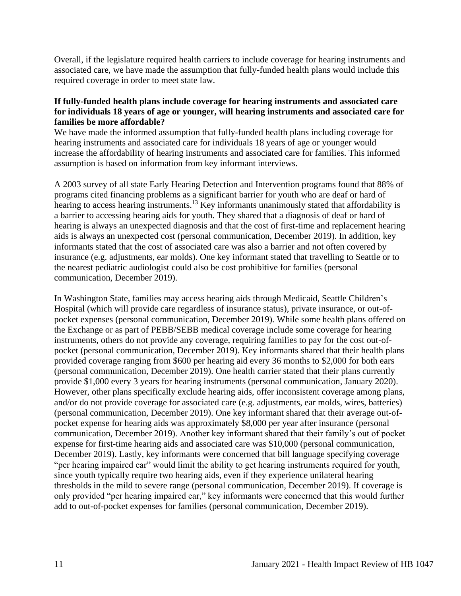Overall, if the legislature required health carriers to include coverage for hearing instruments and associated care, we have made the assumption that fully-funded health plans would include this required coverage in order to meet state law.

#### **If fully-funded health plans include coverage for hearing instruments and associated care for individuals 18 years of age or younger, will hearing instruments and associated care for families be more affordable?**

We have made the informed assumption that fully-funded health plans including coverage for hearing instruments and associated care for individuals 18 years of age or younger would increase the affordability of hearing instruments and associated care for families. This informed assumption is based on information from key informant interviews.

A 2003 survey of all state Early Hearing Detection and Intervention programs found that 88% of programs cited financing problems as a significant barrier for youth who are deaf or hard of hearing to access hearing instruments.<sup>13</sup> Key informants unanimously stated that affordability is a barrier to accessing hearing aids for youth. They shared that a diagnosis of deaf or hard of hearing is always an unexpected diagnosis and that the cost of first-time and replacement hearing aids is always an unexpected cost (personal communication, December 2019). In addition, key informants stated that the cost of associated care was also a barrier and not often covered by insurance (e.g. adjustments, ear molds). One key informant stated that travelling to Seattle or to the nearest pediatric audiologist could also be cost prohibitive for families (personal communication, December 2019).

In Washington State, families may access hearing aids through Medicaid, Seattle Children's Hospital (which will provide care regardless of insurance status), private insurance, or out-ofpocket expenses (personal communication, December 2019). While some health plans offered on the Exchange or as part of PEBB/SEBB medical coverage include some coverage for hearing instruments, others do not provide any coverage, requiring families to pay for the cost out-ofpocket (personal communication, December 2019). Key informants shared that their health plans provided coverage ranging from \$600 per hearing aid every 36 months to \$2,000 for both ears (personal communication, December 2019). One health carrier stated that their plans currently provide \$1,000 every 3 years for hearing instruments (personal communication, January 2020). However, other plans specifically exclude hearing aids, offer inconsistent coverage among plans, and/or do not provide coverage for associated care (e.g. adjustments, ear molds, wires, batteries) (personal communication, December 2019). One key informant shared that their average out-ofpocket expense for hearing aids was approximately \$8,000 per year after insurance (personal communication, December 2019). Another key informant shared that their family's out of pocket expense for first-time hearing aids and associated care was \$10,000 (personal communication, December 2019). Lastly, key informants were concerned that bill language specifying coverage "per hearing impaired ear" would limit the ability to get hearing instruments required for youth, since youth typically require two hearing aids, even if they experience unilateral hearing thresholds in the mild to severe range (personal communication, December 2019). If coverage is only provided "per hearing impaired ear," key informants were concerned that this would further add to out-of-pocket expenses for families (personal communication, December 2019).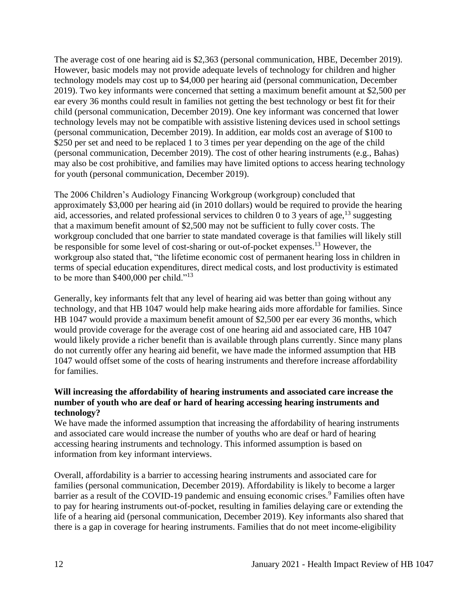The average cost of one hearing aid is \$2,363 (personal communication, HBE, December 2019). However, basic models may not provide adequate levels of technology for children and higher technology models may cost up to \$4,000 per hearing aid (personal communication, December 2019). Two key informants were concerned that setting a maximum benefit amount at \$2,500 per ear every 36 months could result in families not getting the best technology or best fit for their child (personal communication, December 2019). One key informant was concerned that lower technology levels may not be compatible with assistive listening devices used in school settings (personal communication, December 2019). In addition, ear molds cost an average of \$100 to \$250 per set and need to be replaced 1 to 3 times per year depending on the age of the child (personal communication, December 2019). The cost of other hearing instruments (e.g., Bahas) may also be cost prohibitive, and families may have limited options to access hearing technology for youth (personal communication, December 2019).

The 2006 Children's Audiology Financing Workgroup (workgroup) concluded that approximately \$3,000 per hearing aid (in 2010 dollars) would be required to provide the hearing aid, accessories, and related professional services to children 0 to 3 years of age,  $^{13}$  suggesting that a maximum benefit amount of \$2,500 may not be sufficient to fully cover costs. The workgroup concluded that one barrier to state mandated coverage is that families will likely still be responsible for some level of cost-sharing or out-of-pocket expenses.<sup>13</sup> However, the workgroup also stated that, "the lifetime economic cost of permanent hearing loss in children in terms of special education expenditures, direct medical costs, and lost productivity is estimated to be more than \$400,000 per child."<sup>13</sup>

Generally, key informants felt that any level of hearing aid was better than going without any technology, and that HB 1047 would help make hearing aids more affordable for families. Since HB 1047 would provide a maximum benefit amount of \$2,500 per ear every 36 months, which would provide coverage for the average cost of one hearing aid and associated care, HB 1047 would likely provide a richer benefit than is available through plans currently. Since many plans do not currently offer any hearing aid benefit, we have made the informed assumption that HB 1047 would offset some of the costs of hearing instruments and therefore increase affordability for families.

#### **Will increasing the affordability of hearing instruments and associated care increase the number of youth who are deaf or hard of hearing accessing hearing instruments and technology?**

We have made the informed assumption that increasing the affordability of hearing instruments and associated care would increase the number of youths who are deaf or hard of hearing accessing hearing instruments and technology. This informed assumption is based on information from key informant interviews.

Overall, affordability is a barrier to accessing hearing instruments and associated care for families (personal communication, December 2019). Affordability is likely to become a larger barrier as a result of the COVID-19 pandemic and ensuing economic crises.<sup>9</sup> Families often have to pay for hearing instruments out-of-pocket, resulting in families delaying care or extending the life of a hearing aid (personal communication, December 2019). Key informants also shared that there is a gap in coverage for hearing instruments. Families that do not meet income-eligibility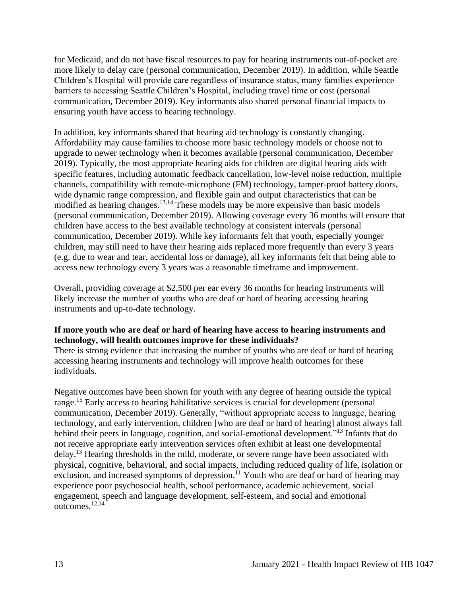for Medicaid, and do not have fiscal resources to pay for hearing instruments out-of-pocket are more likely to delay care (personal communication, December 2019). In addition, while Seattle Children's Hospital will provide care regardless of insurance status, many families experience barriers to accessing Seattle Children's Hospital, including travel time or cost (personal communication, December 2019). Key informants also shared personal financial impacts to ensuring youth have access to hearing technology.

In addition, key informants shared that hearing aid technology is constantly changing. Affordability may cause families to choose more basic technology models or choose not to upgrade to newer technology when it becomes available (personal communication, December 2019). Typically, the most appropriate hearing aids for children are digital hearing aids with specific features, including automatic feedback cancellation, low-level noise reduction, multiple channels, compatibility with remote-microphone (FM) technology, tamper-proof battery doors, wide dynamic range compression, and flexible gain and output characteristics that can be modified as hearing changes.<sup>13,14</sup> These models may be more expensive than basic models (personal communication, December 2019). Allowing coverage every 36 months will ensure that children have access to the best available technology at consistent intervals (personal communication, December 2019). While key informants felt that youth, especially younger children, may still need to have their hearing aids replaced more frequently than every 3 years (e.g. due to wear and tear, accidental loss or damage), all key informants felt that being able to access new technology every 3 years was a reasonable timeframe and improvement.

Overall, providing coverage at \$2,500 per ear every 36 months for hearing instruments will likely increase the number of youths who are deaf or hard of hearing accessing hearing instruments and up-to-date technology.

## **If more youth who are deaf or hard of hearing have access to hearing instruments and technology, will health outcomes improve for these individuals?**

There is strong evidence that increasing the number of youths who are deaf or hard of hearing accessing hearing instruments and technology will improve health outcomes for these individuals.

Negative outcomes have been shown for youth with any degree of hearing outside the typical range.<sup>15</sup> Early access to hearing habilitative services is crucial for development (personal communication, December 2019). Generally, "without appropriate access to language, hearing technology, and early intervention, children [who are deaf or hard of hearing] almost always fall behind their peers in language, cognition, and social-emotional development."<sup>13</sup> Infants that do not receive appropriate early intervention services often exhibit at least one developmental delay.<sup>13</sup> Hearing thresholds in the mild, moderate, or severe range have been associated with physical, cognitive, behavioral, and social impacts, including reduced quality of life, isolation or exclusion, and increased symptoms of depression.<sup>11</sup> Youth who are deaf or hard of hearing may experience poor psychosocial health, school performance, academic achievement, social engagement, speech and language development, self-esteem, and social and emotional outcomes. 12,14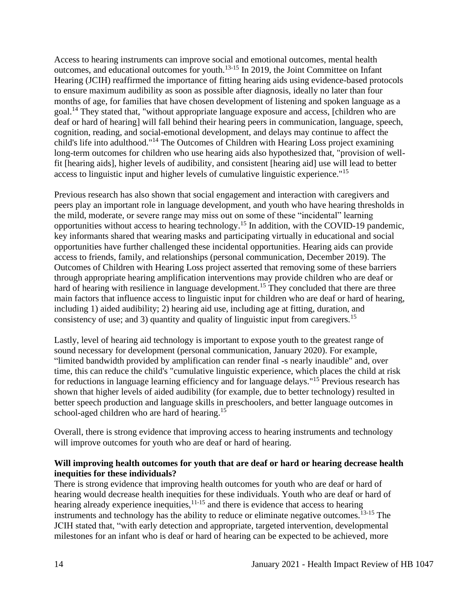Access to hearing instruments can improve social and emotional outcomes, mental health outcomes, and educational outcomes for youth.13-15 In 2019, the Joint Committee on Infant Hearing (JCIH) reaffirmed the importance of fitting hearing aids using evidence-based protocols to ensure maximum audibility as soon as possible after diagnosis, ideally no later than four months of age, for families that have chosen development of listening and spoken language as a goal.<sup>14</sup> They stated that, "without appropriate language exposure and access, [children who are deaf or hard of hearing] will fall behind their hearing peers in communication, language, speech, cognition, reading, and social-emotional development, and delays may continue to affect the child's life into adulthood."<sup>14</sup> The Outcomes of Children with Hearing Loss project examining long-term outcomes for children who use hearing aids also hypothesized that, "provision of wellfit [hearing aids], higher levels of audibility, and consistent [hearing aid] use will lead to better access to linguistic input and higher levels of cumulative linguistic experience."<sup>15</sup>

Previous research has also shown that social engagement and interaction with caregivers and peers play an important role in language development, and youth who have hearing thresholds in the mild, moderate, or severe range may miss out on some of these "incidental" learning opportunities without access to hearing technology.<sup>15</sup> In addition, with the COVID-19 pandemic, key informants shared that wearing masks and participating virtually in educational and social opportunities have further challenged these incidental opportunities. Hearing aids can provide access to friends, family, and relationships (personal communication, December 2019). The Outcomes of Children with Hearing Loss project asserted that removing some of these barriers through appropriate hearing amplification interventions may provide children who are deaf or hard of hearing with resilience in language development.<sup>15</sup> They concluded that there are three main factors that influence access to linguistic input for children who are deaf or hard of hearing, including 1) aided audibility; 2) hearing aid use, including age at fitting, duration, and consistency of use; and 3) quantity and quality of linguistic input from caregivers.<sup>15</sup>

Lastly, level of hearing aid technology is important to expose youth to the greatest range of sound necessary for development (personal communication, January 2020). For example, "limited bandwidth provided by amplification can render final -s nearly inaudible" and, over time, this can reduce the child's "cumulative linguistic experience, which places the child at risk for reductions in language learning efficiency and for language delays."<sup>15</sup> Previous research has shown that higher levels of aided audibility (for example, due to better technology) resulted in better speech production and language skills in preschoolers, and better language outcomes in school-aged children who are hard of hearing.<sup>15</sup>

Overall, there is strong evidence that improving access to hearing instruments and technology will improve outcomes for youth who are deaf or hard of hearing.

## **Will improving health outcomes for youth that are deaf or hard or hearing decrease health inequities for these individuals?**

There is strong evidence that improving health outcomes for youth who are deaf or hard of hearing would decrease health inequities for these individuals. Youth who are deaf or hard of hearing already experience inequities, $11-15$  and there is evidence that access to hearing instruments and technology has the ability to reduce or eliminate negative outcomes.<sup>13-15</sup> The JCIH stated that, "with early detection and appropriate, targeted intervention, developmental milestones for an infant who is deaf or hard of hearing can be expected to be achieved, more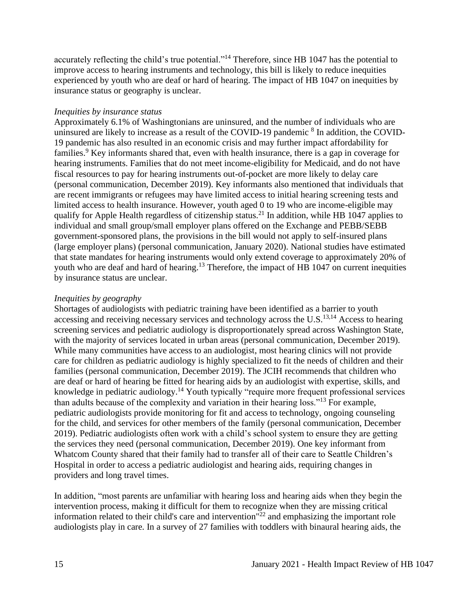accurately reflecting the child's true potential."<sup>14</sup> Therefore, since HB 1047 has the potential to improve access to hearing instruments and technology, this bill is likely to reduce inequities experienced by youth who are deaf or hard of hearing. The impact of HB 1047 on inequities by insurance status or geography is unclear.

#### *Inequities by insurance status*

Approximately 6.1% of Washingtonians are uninsured, and the number of individuals who are uninsured are likely to increase as a result of the COVID-19 pandemic <sup>8</sup> In addition, the COVID-19 pandemic has also resulted in an economic crisis and may further impact affordability for families.<sup>9</sup> Key informants shared that, even with health insurance, there is a gap in coverage for hearing instruments. Families that do not meet income-eligibility for Medicaid, and do not have fiscal resources to pay for hearing instruments out-of-pocket are more likely to delay care (personal communication, December 2019). Key informants also mentioned that individuals that are recent immigrants or refugees may have limited access to initial hearing screening tests and limited access to health insurance. However, youth aged 0 to 19 who are income-eligible may qualify for Apple Health regardless of citizenship status.<sup>21</sup> In addition, while HB 1047 applies to individual and small group/small employer plans offered on the Exchange and PEBB/SEBB government-sponsored plans, the provisions in the bill would not apply to self-insured plans (large employer plans) (personal communication, January 2020). National studies have estimated that state mandates for hearing instruments would only extend coverage to approximately 20% of youth who are deaf and hard of hearing.<sup>13</sup> Therefore, the impact of HB 1047 on current inequities by insurance status are unclear.

## *Inequities by geography*

Shortages of audiologists with pediatric training have been identified as a barrier to youth accessing and receiving necessary services and technology across the U.S.<sup>13,14</sup> Access to hearing screening services and pediatric audiology is disproportionately spread across Washington State, with the majority of services located in urban areas (personal communication, December 2019). While many communities have access to an audiologist, most hearing clinics will not provide care for children as pediatric audiology is highly specialized to fit the needs of children and their families (personal communication, December 2019). The JCIH recommends that children who are deaf or hard of hearing be fitted for hearing aids by an audiologist with expertise, skills, and knowledge in pediatric audiology.<sup>14</sup> Youth typically "require more frequent professional services than adults because of the complexity and variation in their hearing loss."<sup>13</sup> For example, pediatric audiologists provide monitoring for fit and access to technology, ongoing counseling for the child, and services for other members of the family (personal communication, December 2019). Pediatric audiologists often work with a child's school system to ensure they are getting the services they need (personal communication, December 2019). One key informant from Whatcom County shared that their family had to transfer all of their care to Seattle Children's Hospital in order to access a pediatric audiologist and hearing aids, requiring changes in providers and long travel times.

In addition, "most parents are unfamiliar with hearing loss and hearing aids when they begin the intervention process, making it difficult for them to recognize when they are missing critical information related to their child's care and intervention" <sup>22</sup> and emphasizing the important role audiologists play in care. In a survey of 27 families with toddlers with binaural hearing aids, the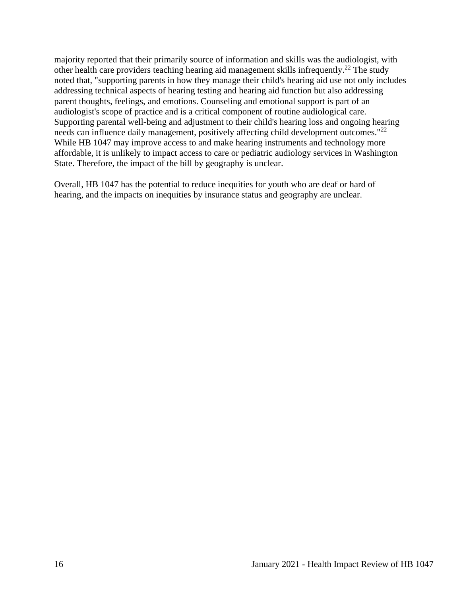majority reported that their primarily source of information and skills was the audiologist, with other health care providers teaching hearing aid management skills infrequently.<sup>22</sup> The study noted that, "supporting parents in how they manage their child's hearing aid use not only includes addressing technical aspects of hearing testing and hearing aid function but also addressing parent thoughts, feelings, and emotions. Counseling and emotional support is part of an audiologist's scope of practice and is a critical component of routine audiological care. Supporting parental well-being and adjustment to their child's hearing loss and ongoing hearing needs can influence daily management, positively affecting child development outcomes."<sup>22</sup> While HB 1047 may improve access to and make hearing instruments and technology more affordable, it is unlikely to impact access to care or pediatric audiology services in Washington State. Therefore, the impact of the bill by geography is unclear.

<span id="page-17-0"></span>Overall, HB 1047 has the potential to reduce inequities for youth who are deaf or hard of hearing, and the impacts on inequities by insurance status and geography are unclear.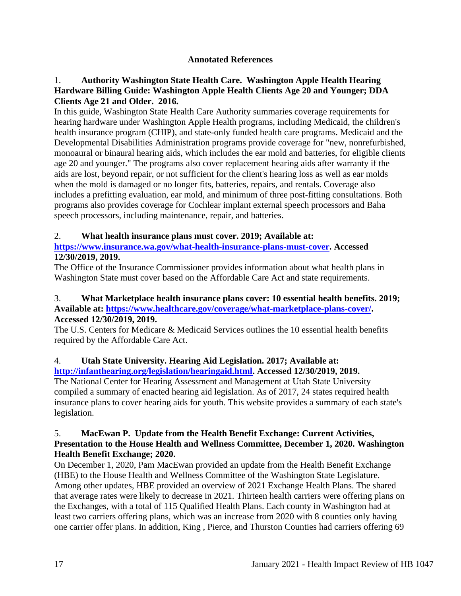## **Annotated References**

## 1. **Authority Washington State Health Care. Washington Apple Health Hearing Hardware Billing Guide: Washington Apple Health Clients Age 20 and Younger; DDA Clients Age 21 and Older. 2016.**

In this guide, Washington State Health Care Authority summaries coverage requirements for hearing hardware under Washington Apple Health programs, including Medicaid, the children's health insurance program (CHIP), and state-only funded health care programs. Medicaid and the Developmental Disabilities Administration programs provide coverage for "new, nonrefurbished, monoaural or binaural hearing aids, which includes the ear mold and batteries, for eligible clients age 20 and younger." The programs also cover replacement hearing aids after warranty if the aids are lost, beyond repair, or not sufficient for the client's hearing loss as well as ear molds when the mold is damaged or no longer fits, batteries, repairs, and rentals. Coverage also includes a prefitting evaluation, ear mold, and minimum of three post-fitting consultations. Both programs also provides coverage for Cochlear implant external speech processors and Baha speech processors, including maintenance, repair, and batteries.

## 2. **What health insurance plans must cover. 2019; Available at:**

## **[https://www.insurance.wa.gov/what-health-insurance-plans-must-cover.](https://www.insurance.wa.gov/what-health-insurance-plans-must-cover) Accessed 12/30/2019, 2019.**

The Office of the Insurance Commissioner provides information about what health plans in Washington State must cover based on the Affordable Care Act and state requirements.

#### 3. **What Marketplace health insurance plans cover: 10 essential health benefits. 2019; Available at: [https://www.healthcare.gov/coverage/what-marketplace-plans-cover/.](https://www.healthcare.gov/coverage/what-marketplace-plans-cover/) Accessed 12/30/2019, 2019.**

The U.S. Centers for Medicare & Medicaid Services outlines the 10 essential health benefits required by the Affordable Care Act.

#### 4. **Utah State University. Hearing Aid Legislation. 2017; Available at: [http://infanthearing.org/legislation/hearingaid.html.](http://infanthearing.org/legislation/hearingaid.html) Accessed 12/30/2019, 2019.**

The National Center for Hearing Assessment and Management at Utah State University compiled a summary of enacted hearing aid legislation. As of 2017, 24 states required health insurance plans to cover hearing aids for youth. This website provides a summary of each state's legislation.

#### 5. **MacEwan P. Update from the Health Benefit Exchange: Current Activities, Presentation to the House Health and Wellness Committee, December 1, 2020. Washington Health Benefit Exchange; 2020.**

On December 1, 2020, Pam MacEwan provided an update from the Health Benefit Exchange (HBE) to the House Health and Wellness Committee of the Washington State Legislature. Among other updates, HBE provided an overview of 2021 Exchange Health Plans. The shared that average rates were likely to decrease in 2021. Thirteen health carriers were offering plans on the Exchanges, with a total of 115 Qualified Health Plans. Each county in Washington had at least two carriers offering plans, which was an increase from 2020 with 8 counties only having one carrier offer plans. In addition, King , Pierce, and Thurston Counties had carriers offering 69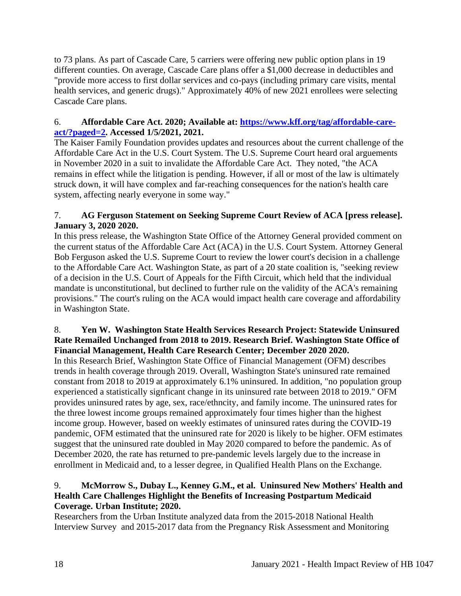to 73 plans. As part of Cascade Care, 5 carriers were offering new public option plans in 19 different counties. On average, Cascade Care plans offer a \$1,000 decrease in deductibles and "provide more access to first dollar services and co-pays (including primary care visits, mental health services, and generic drugs)." Approximately 40% of new 2021 enrollees were selecting Cascade Care plans.

# 6. **Affordable Care Act. 2020; Available at: [https://www.kff.org/tag/affordable-care](https://www.kff.org/tag/affordable-care-act/?paged=2)[act/?paged=2.](https://www.kff.org/tag/affordable-care-act/?paged=2) Accessed 1/5/2021, 2021.**

The Kaiser Family Foundation provides updates and resources about the current challenge of the Affordable Care Act in the U.S. Court System. The U.S. Supreme Court heard oral arguements in November 2020 in a suit to invalidate the Affordable Care Act. They noted, "the ACA remains in effect while the litigation is pending. However, if all or most of the law is ultimately struck down, it will have complex and far-reaching consequences for the nation's health care system, affecting nearly everyone in some way."

## 7. **AG Ferguson Statement on Seeking Supreme Court Review of ACA [press release]. January 3, 2020 2020.**

In this press release, the Washington State Office of the Attorney General provided comment on the current status of the Affordable Care Act (ACA) in the U.S. Court System. Attorney General Bob Ferguson asked the U.S. Supreme Court to review the lower court's decision in a challenge to the Affordable Care Act. Washington State, as part of a 20 state coalition is, "seeking review of a decision in the U.S. Court of Appeals for the Fifth Circuit, which held that the individual mandate is unconstitutional, but declined to further rule on the validity of the ACA's remaining provisions." The court's ruling on the ACA would impact health care coverage and affordability in Washington State.

## 8. **Yen W. Washington State Health Services Research Project: Statewide Uninsured Rate Remailed Unchanged from 2018 to 2019. Research Brief. Washington State Office of Financial Management, Health Care Research Center; December 2020 2020.**

In this Research Brief, Washington State Office of Financial Management (OFM) describes trends in health coverage through 2019. Overall, Washington State's uninsured rate remained constant from 2018 to 2019 at approximately 6.1% uninsured. In addition, "no population group experienced a statistically signficant change in its uninsured rate between 2018 to 2019." OFM provides uninsured rates by age, sex, race/ethncity, and family income. The uninsured rates for the three lowest income groups remained approximately four times higher than the highest income group. However, based on weekly estimates of uninsured rates during the COVID-19 pandemic, OFM estimated that the uninsured rate for 2020 is likely to be higher. OFM estimates suggest that the uninsured rate doubled in May 2020 compared to before the pandemic. As of December 2020, the rate has returned to pre-pandemic levels largely due to the increase in enrollment in Medicaid and, to a lesser degree, in Qualified Health Plans on the Exchange.

## 9. **McMorrow S., Dubay L., Kenney G.M., et al. Uninsured New Mothers' Health and Health Care Challenges Highlight the Benefits of Increasing Postpartum Medicaid Coverage. Urban Institute; 2020.**

Researchers from the Urban Institute analyzed data from the 2015-2018 National Health Interview Survey and 2015-2017 data from the Pregnancy Risk Assessment and Monitoring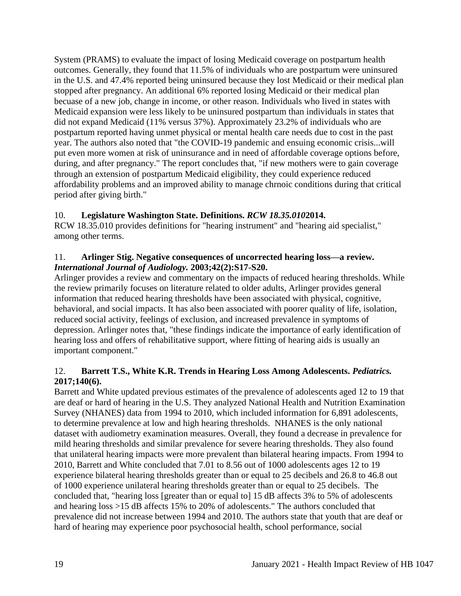System (PRAMS) to evaluate the impact of losing Medicaid coverage on postpartum health outcomes. Generally, they found that 11.5% of individuals who are postpartum were uninsured in the U.S. and 47.4% reported being uninsured because they lost Medicaid or their medical plan stopped after pregnancy. An additional 6% reported losing Medicaid or their medical plan becuase of a new job, change in income, or other reason. Individuals who lived in states with Medicaid expansion were less likely to be uninsured postpartum than individuals in states that did not expand Medicaid (11% versus 37%). Approximately 23.2% of individuals who are postpartum reported having unmet physical or mental health care needs due to cost in the past year. The authors also noted that "the COVID-19 pandemic and ensuing economic crisis...will put even more women at risk of uninsurance and in need of affordable coverage options before, during, and after pregnancy." The report concludes that, "if new mothers were to gain coverage through an extension of postpartum Medicaid eligibility, they could experience reduced affordability problems and an improved ability to manage chrnoic conditions during that critical period after giving birth."

# 10. **Legislature Washington State. Definitions.** *RCW 18.35.010***2014.**

RCW 18.35.010 provides definitions for "hearing instrument" and "hearing aid specialist," among other terms.

## 11. **Arlinger Stig. Negative consequences of uncorrected hearing loss—a review.**  *International Journal of Audiology.* **2003;42(2):S17-S20.**

Arlinger provides a review and commentary on the impacts of reduced hearing thresholds. While the review primarily focuses on literature related to older adults, Arlinger provides general information that reduced hearing thresholds have been associated with physical, cognitive, behavioral, and social impacts. It has also been associated with poorer quality of life, isolation, reduced social activity, feelings of exclusion, and increased prevalence in symptoms of depression. Arlinger notes that, "these findings indicate the importance of early identification of hearing loss and offers of rehabilitative support, where fitting of hearing aids is usually an important component."

## 12. **Barrett T.S., White K.R. Trends in Hearing Loss Among Adolescents.** *Pediatrics.*  **2017;140(6).**

Barrett and White updated previous estimates of the prevalence of adolescents aged 12 to 19 that are deaf or hard of hearing in the U.S. They analyzed National Health and Nutrition Examination Survey (NHANES) data from 1994 to 2010, which included information for 6,891 adolescents, to determine prevalence at low and high hearing thresholds. NHANES is the only national dataset with audiometry examination measures. Overall, they found a decrease in prevalence for mild hearing thresholds and similar prevalence for severe hearing thresholds. They also found that unilateral hearing impacts were more prevalent than bilateral hearing impacts. From 1994 to 2010, Barrett and White concluded that 7.01 to 8.56 out of 1000 adolescents ages 12 to 19 experience bilateral hearing thresholds greater than or equal to 25 decibels and 26.8 to 46.8 out of 1000 experience unilateral hearing thresholds greater than or equal to 25 decibels. The concluded that, "hearing loss [greater than or equal to] 15 dB affects 3% to 5% of adolescents and hearing loss >15 dB affects 15% to 20% of adolescents." The authors concluded that prevalence did not increase between 1994 and 2010. The authors state that youth that are deaf or hard of hearing may experience poor psychosocial health, school performance, social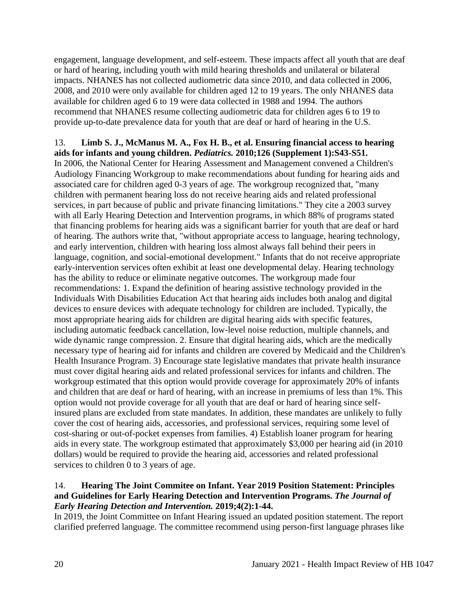engagement, language development, and self-esteem. These impacts affect all youth that are deaf or hard of hearing, including youth with mild hearing thresholds and unilateral or bilateral impacts. NHANES has not collected audiometric data since 2010, and data collected in 2006, 2008, and 2010 were only available for children aged 12 to 19 years. The only NHANES data available for children aged 6 to 19 were data collected in 1988 and 1994. The authors recommend that NHANES resume collecting audiometric data for children ages 6 to 19 to provide up-to-date prevalence data for youth that are deaf or hard of hearing in the U.S.

# 13. **Limb S. J., McManus M. A., Fox H. B., et al. Ensuring financial access to hearing aids for infants and young children.** *Pediatrics.* **2010;126 (Supplement 1):S43-S51.**

In 2006, the National Center for Hearing Assessment and Management convened a Children's Audiology Financing Workgroup to make recommendations about funding for hearing aids and associated care for children aged 0-3 years of age. The workgroup recognized that, "many children with permanent hearing loss do not receive hearing aids and related professional services, in part because of public and private financing limitations." They cite a 2003 survey with all Early Hearing Detection and Intervention programs, in which 88% of programs stated that financing problems for hearing aids was a significant barrier for youth that are deaf or hard of hearing. The authors write that, "without appropriate access to language, hearing technology, and early intervention, children with hearing loss almost always fall behind their peers in language, cognition, and social-emotional development." Infants that do not receive appropriate early-intervention services often exhibit at least one developmental delay. Hearing technology has the ability to reduce or eliminate negative outcomes. The workgroup made four recommendations: 1. Expand the definition of hearing assistive technology provided in the Individuals With Disabilities Education Act that hearing aids includes both analog and digital devices to ensure devices with adequate technology for children are included. Typically, the most appropriate hearing aids for children are digital hearing aids with specific features, including automatic feedback cancellation, low-level noise reduction, multiple channels, and wide dynamic range compression. 2. Ensure that digital hearing aids, which are the medically necessary type of hearing aid for infants and children are covered by Medicaid and the Children's Health Insurance Program. 3) Encourage state legislative mandates that private health insurance must cover digital hearing aids and related professional services for infants and children. The workgroup estimated that this option would provide coverage for approximately 20% of infants and children that are deaf or hard of hearing, with an increase in premiums of less than 1%. This option would not provide coverage for all youth that are deaf or hard of hearing since selfinsured plans are excluded from state mandates. In addition, these mandates are unlikely to fully cover the cost of hearing aids, accessories, and professional services, requiring some level of cost-sharing or out-of-pocket expenses from families. 4) Establish loaner program for hearing aids in every state. The workgroup estimated that approximately \$3,000 per hearing aid (in 2010 dollars) would be required to provide the hearing aid, accessories and related professional services to children 0 to 3 years of age.

#### 14. **Hearing The Joint Commitee on Infant. Year 2019 Position Statement: Principles and Guidelines for Early Hearing Detection and Intervention Programs.** *The Journal of Early Hearing Detection and Intervention.* **2019;4(2):1-44.**

In 2019, the Joint Committee on Infant Hearing issued an updated position statement. The report clarified preferred language. The committee recommend using person-first language phrases like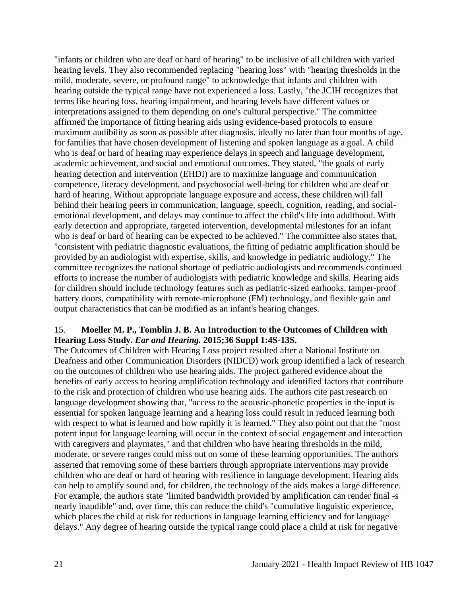"infants or children who are deaf or hard of hearing" to be inclusive of all children with varied hearing levels. They also recommended replacing "hearing loss" with "hearing thresholds in the mild, moderate, severe, or profound range" to acknowledge that infants and children with hearing outside the typical range have not experienced a loss. Lastly, "the JCIH recognizes that terms like hearing loss, hearing impairment, and hearing levels have different values or interpretations assigned to them depending on one's cultural perspective." The committee affirmed the importance of fitting hearing aids using evidence-based protocols to ensure maximum audibility as soon as possible after diagnosis, ideally no later than four months of age, for families that have chosen development of listening and spoken language as a goal. A child who is deaf or hard of hearing may experience delays in speech and language development, academic achievement, and social and emotional outcomes. They stated, "the goals of early hearing detection and intervention (EHDI) are to maximize language and communication competence, literacy development, and psychosocial well-being for children who are deaf or hard of hearing. Without appropriate language exposure and access, these children will fall behind their hearing peers in communication, language, speech, cognition, reading, and socialemotional development, and delays may continue to affect the child's life into adulthood. With early detection and appropriate, targeted intervention, developmental milestones for an infant who is deaf or hard of hearing can be expected to be achieved." The committee also states that, "consistent with pediatric diagnostic evaluations, the fitting of pediatric amplification should be provided by an audiologist with expertise, skills, and knowledge in pediatric audiology." The committee recognizes the national shortage of pediatric audiologists and recommends continued efforts to increase the number of audiologists with pediatric knowledge and skills. Hearing aids for children should include technology features such as pediatric-sized earhooks, tamper-proof battery doors, compatibility with remote-microphone (FM) technology, and flexible gain and output characteristics that can be modified as an infant's hearing changes.

#### 15. **Moeller M. P., Tomblin J. B. An Introduction to the Outcomes of Children with Hearing Loss Study.** *Ear and Hearing.* **2015;36 Suppl 1:4S-13S.**

The Outcomes of Children with Hearing Loss project resulted after a National Institute on Deafness and other Communication Disorders (NIDCD) work group identified a lack of research on the outcomes of children who use hearing aids. The project gathered evidence about the benefits of early access to hearing amplification technology and identified factors that contribute to the risk and protection of children who use hearing aids. The authors cite past research on language development showing that, "access to the acoustic-phonetic properties in the input is essential for spoken language learning and a hearing loss could result in reduced learning both with respect to what is learned and how rapidly it is learned." They also point out that the "most" potent input for language learning will occur in the context of social engagement and interaction with caregivers and playmates," and that children who have hearing thresholds in the mild, moderate, or severe ranges could miss out on some of these learning opportunities. The authors asserted that removing some of these barriers through appropriate interventions may provide children who are deaf or hard of hearing with resilience in language development. Hearing aids can help to amplify sound and, for children, the technology of the aids makes a large difference. For example, the authors state "limited bandwidth provided by amplification can render final -s nearly inaudible" and, over time, this can reduce the child's "cumulative linguistic experience, which places the child at risk for reductions in language learning efficiency and for language delays." Any degree of hearing outside the typical range could place a child at risk for negative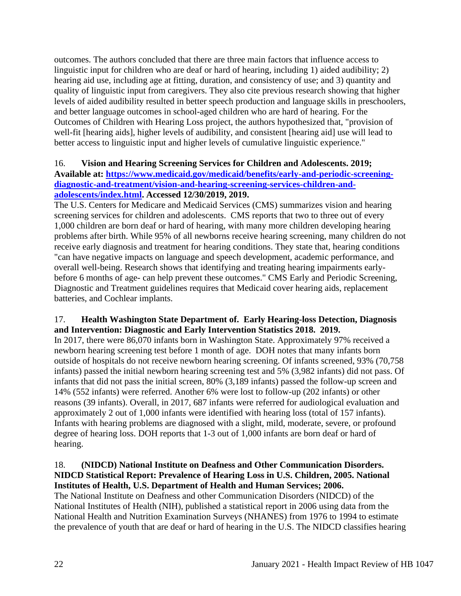outcomes. The authors concluded that there are three main factors that influence access to linguistic input for children who are deaf or hard of hearing, including 1) aided audibility; 2) hearing aid use, including age at fitting, duration, and consistency of use; and 3) quantity and quality of linguistic input from caregivers. They also cite previous research showing that higher levels of aided audibility resulted in better speech production and language skills in preschoolers, and better language outcomes in school-aged children who are hard of hearing. For the Outcomes of Children with Hearing Loss project, the authors hypothesized that, "provision of well-fit [hearing aids], higher levels of audibility, and consistent [hearing aid] use will lead to better access to linguistic input and higher levels of cumulative linguistic experience."

## 16. **Vision and Hearing Screening Services for Children and Adolescents. 2019; Available at: [https://www.medicaid.gov/medicaid/benefits/early-and-periodic-screening](https://www.medicaid.gov/medicaid/benefits/early-and-periodic-screening-diagnostic-and-treatment/vision-and-hearing-screening-services-children-and-adolescents/index.html)[diagnostic-and-treatment/vision-and-hearing-screening-services-children-and](https://www.medicaid.gov/medicaid/benefits/early-and-periodic-screening-diagnostic-and-treatment/vision-and-hearing-screening-services-children-and-adolescents/index.html)[adolescents/index.html.](https://www.medicaid.gov/medicaid/benefits/early-and-periodic-screening-diagnostic-and-treatment/vision-and-hearing-screening-services-children-and-adolescents/index.html) Accessed 12/30/2019, 2019.**

The U.S. Centers for Medicare and Medicaid Services (CMS) summarizes vision and hearing screening services for children and adolescents. CMS reports that two to three out of every 1,000 children are born deaf or hard of hearing, with many more children developing hearing problems after birth. While 95% of all newborns receive hearing screening, many children do not receive early diagnosis and treatment for hearing conditions. They state that, hearing conditions "can have negative impacts on language and speech development, academic performance, and overall well-being. Research shows that identifying and treating hearing impairments earlybefore 6 months of age- can help prevent these outcomes." CMS Early and Periodic Screening, Diagnostic and Treatment guidelines requires that Medicaid cover hearing aids, replacement batteries, and Cochlear implants.

## 17. **Health Washington State Department of. Early Hearing-loss Detection, Diagnosis and Intervention: Diagnostic and Early Intervention Statistics 2018. 2019.**

In 2017, there were 86,070 infants born in Washington State. Approximately 97% received a newborn hearing screening test before 1 month of age. DOH notes that many infants born outside of hospitals do not receive newborn hearing screening. Of infants screened, 93% (70,758 infants) passed the initial newborn hearing screening test and 5% (3,982 infants) did not pass. Of infants that did not pass the initial screen, 80% (3,189 infants) passed the follow-up screen and 14% (552 infants) were referred. Another 6% were lost to follow-up (202 infants) or other reasons (39 infants). Overall, in 2017, 687 infants were referred for audiological evaluation and approximately 2 out of 1,000 infants were identified with hearing loss (total of 157 infants). Infants with hearing problems are diagnosed with a slight, mild, moderate, severe, or profound degree of hearing loss. DOH reports that 1-3 out of 1,000 infants are born deaf or hard of hearing.

#### 18. **(NIDCD) National Institute on Deafness and Other Communication Disorders. NIDCD Statistical Report: Prevalence of Hearing Loss in U.S. Children, 2005. National Institutes of Health, U.S. Department of Health and Human Services; 2006.**

The National Institute on Deafness and other Communication Disorders (NIDCD) of the National Institutes of Health (NIH), published a statistical report in 2006 using data from the National Health and Nutrition Examination Surveys (NHANES) from 1976 to 1994 to estimate the prevalence of youth that are deaf or hard of hearing in the U.S. The NIDCD classifies hearing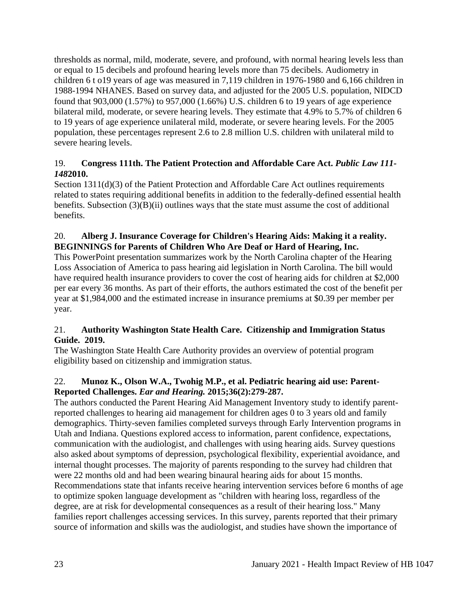thresholds as normal, mild, moderate, severe, and profound, with normal hearing levels less than or equal to 15 decibels and profound hearing levels more than 75 decibels. Audiometry in children 6 t o19 years of age was measured in 7,119 children in 1976-1980 and 6,166 children in 1988-1994 NHANES. Based on survey data, and adjusted for the 2005 U.S. population, NIDCD found that 903,000 (1.57%) to 957,000 (1.66%) U.S. children 6 to 19 years of age experience bilateral mild, moderate, or severe hearing levels. They estimate that 4.9% to 5.7% of children 6 to 19 years of age experience unilateral mild, moderate, or severe hearing levels. For the 2005 population, these percentages represent 2.6 to 2.8 million U.S. children with unilateral mild to severe hearing levels.

## 19. **Congress 111th. The Patient Protection and Affordable Care Act.** *Public Law 111- 148***2010.**

Section 1311(d)(3) of the Patient Protection and Affordable Care Act outlines requirements related to states requiring additional benefits in addition to the federally-defined essential health benefits. Subsection (3)(B)(ii) outlines ways that the state must assume the cost of additional benefits.

# 20. **Alberg J. Insurance Coverage for Children's Hearing Aids: Making it a reality. BEGINNINGS for Parents of Children Who Are Deaf or Hard of Hearing, Inc.**

This PowerPoint presentation summarizes work by the North Carolina chapter of the Hearing Loss Association of America to pass hearing aid legislation in North Carolina. The bill would have required health insurance providers to cover the cost of hearing aids for children at \$2,000 per ear every 36 months. As part of their efforts, the authors estimated the cost of the benefit per year at \$1,984,000 and the estimated increase in insurance premiums at \$0.39 per member per year.

# 21. **Authority Washington State Health Care. Citizenship and Immigration Status Guide. 2019.**

The Washington State Health Care Authority provides an overview of potential program eligibility based on citizenship and immigration status.

# 22. **Munoz K., Olson W.A., Twohig M.P., et al. Pediatric hearing aid use: Parent-Reported Challenges.** *Ear and Hearing.* **2015;36(2):279-287.**

The authors conducted the Parent Hearing Aid Management Inventory study to identify parentreported challenges to hearing aid management for children ages 0 to 3 years old and family demographics. Thirty-seven families completed surveys through Early Intervention programs in Utah and Indiana. Questions explored access to information, parent confidence, expectations, communication with the audiologist, and challenges with using hearing aids. Survey questions also asked about symptoms of depression, psychological flexibility, experiential avoidance, and internal thought processes. The majority of parents responding to the survey had children that were 22 months old and had been wearing binaural hearing aids for about 15 months. Recommendations state that infants receive hearing intervention services before 6 months of age to optimize spoken language development as "children with hearing loss, regardless of the degree, are at risk for developmental consequences as a result of their hearing loss." Many families report challenges accessing services. In this survey, parents reported that their primary source of information and skills was the audiologist, and studies have shown the importance of